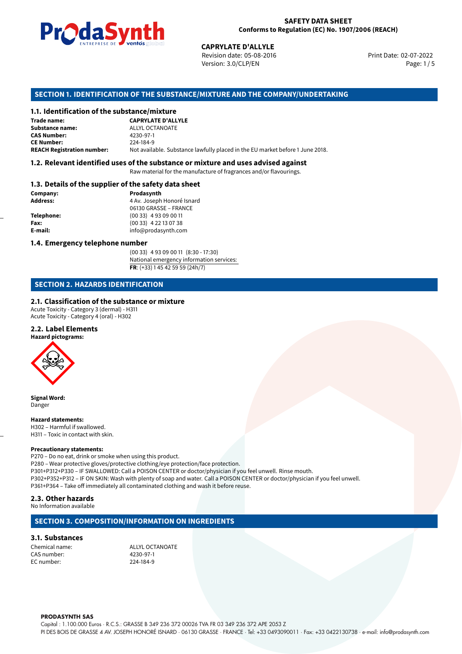

Revision date: 05-08-2016 Version: 3.0/CLP/EN Page: 1/5

Print Date: 02-07-2022

### **SECTION 1. IDENTIFICATION OF THE SUBSTANCE/MIXTURE AND THE COMPANY/UNDERTAKING**

#### **1.1. Identification of the substance/mixture**

|                                              | LIVING THE DE <b>DE VOINUS</b> SUSSESSI | <b>CAPRYLATE D'ALLYLE</b><br>Revision date: 05-08-2016<br>Version: 3.0/CLP/EN |  |
|----------------------------------------------|-----------------------------------------|-------------------------------------------------------------------------------|--|
|                                              |                                         | SECTION 1. IDENTIFICATION OF THE SUBSTANCE/MIXTURE AND THE COMPANY/UNDERTAK   |  |
| 1.1. Identification of the substance/mixture |                                         |                                                                               |  |
| Trade name:                                  | <b>CAPRYLATE D'ALLYLE</b>               |                                                                               |  |
| Substance name:                              | ALLYL OCTANOATE                         |                                                                               |  |
| <b>CAS Number:</b>                           | 4230-97-1                               |                                                                               |  |
| <b>CE Number:</b>                            | 224-184-9                               |                                                                               |  |
| <b>REACH Registration number:</b>            |                                         | Not available. Substance lawfully placed in the EU market before 1 June 2018. |  |
|                                              |                                         |                                                                               |  |

#### **1.2. Relevant identified uses of the substance or mixture and uses advised against**

Raw material for the manufacture of fragrances and/or flavourings.

#### **1.3. Details of the supplier of the safety data sheet**

| Company:          | Prodasynth                 |  |
|-------------------|----------------------------|--|
| <b>Address:</b>   | 4 Av. Joseph Honoré Isnard |  |
|                   | 06130 GRASSE - FRANCE      |  |
| <b>Telephone:</b> | $(0033)$ 4 93 09 00 11     |  |
| Fax:              | $(0033)$ 4 22 13 07 38     |  |
| E-mail:           | info@prodasynth.com        |  |
|                   |                            |  |

#### **1.4. Emergency telephone number**

(00 33) 4 93 09 00 11 (8:30 - 17:30) National emergency information services: **FR**: (+33) 1 45 42 59 59 (24h/7)

# **SECTION 2. HAZARDS IDENTIFICATION**

#### **2.1. Classification of the substance or mixture**

Acute Toxicity - Category 3 (dermal) - H311 Acute Toxicity - Category 4 (oral) - H302

#### **2.2. Label Elements**

**Hazard pictograms:**



**Signal Word:** Danger

#### **Hazard statements:**

H302 – Harmful if swallowed. H311 – Toxic in contact with skin.

#### **Precautionary statements:**

P270 – Do no eat, drink or smoke when using this product. P280 – Wear protective gloves/protective clothing/eye protection/face protection. P301+P312+P330 – IF SWALLOWED: Call a POISON CENTER or doctor/physician if you feel unwell. Rinse mouth. P302+P352+P312 – IF ON SKIN: Wash with plenty of soap and water. Call a POISON CENTER or doctor/physician if you feel unwell. P361+P364 – Take off immediately all contaminated clothing and wash it before reuse.

#### **2.3. Other hazards**

No Information available

#### **SECTION 3. COMPOSITION/INFORMATION ON INGREDIENTS**

#### **3.1. Substances**

Chemical name: ALLYL OCTANOATE CAS number: 4230-97-1 EC number: 224-184-9

#### **PRODASYNTH SAS**

Capital : 1.100.000 Euros · R.C.S.: GRASSE B 349 236 372 00026 TVA FR 03 349 236 372 APE 2053 Z PI DES BOIS DE GRASSE 4 AV. JOSEPH HONORÉ ISNARD · 06130 GRASSE · FRANCE · Tel: +33 0493090011 · Fax: +33 0422130738 · e-mail: info@prodasynth.com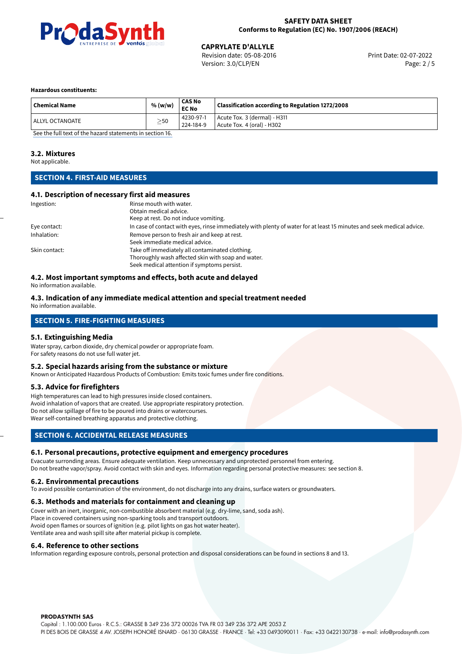

# **CAPRYLATE D'ALLYLE**<br>
Revision date: 05-08-2016<br> **CAPRYLATE D'ALLYLE**<br>
Print Date: 02-07-2022

Revision date: 05-08-2016 Version: 3.0/CLP/EN Page: 2 / 5

#### **Hazardous constituents:**

| <b>Chemical Name</b> | % (w/w)   | CAS No<br><b>EC No</b> | Classification according to Regulation 1272/2008             |
|----------------------|-----------|------------------------|--------------------------------------------------------------|
| l ALLYL OCTANOATE    | $\geq$ 50 | 4230-97-1<br>224-184-9 | Acute Tox. 3 (dermal) - H311<br>  Acute Tox. 4 (oral) - H302 |

[See the full text of the hazard statements in section 16.](#page-4-0)

#### **3.2. Mixtures**

Not applicable.

# **SECTION 4. FIRST-AID MEASURES**

#### **4.1. Description of necessary first aid measures**

| Ingestion:    | Rinse mouth with water.                                                                                               |
|---------------|-----------------------------------------------------------------------------------------------------------------------|
|               | Obtain medical advice.                                                                                                |
|               | Keep at rest. Do not induce vomiting.                                                                                 |
| Eye contact:  | In case of contact with eyes, rinse immediately with plenty of water for at least 15 minutes and seek medical advice. |
| Inhalation:   | Remove person to fresh air and keep at rest.                                                                          |
|               | Seek immediate medical advice.                                                                                        |
| Skin contact: | Take off immediately all contaminated clothing.                                                                       |
|               | Thoroughly wash affected skin with soap and water.                                                                    |
|               | Seek medical attention if symptoms persist.                                                                           |

### **4.2. Most important symptoms and effects, both acute and delayed**

No information available.

#### **4.3. Indication of any immediate medical attention and special treatment needed** No information available.

# **SECTION 5. FIRE-FIGHTING MEASURES**

#### **5.1. Extinguishing Media**

Water spray, carbon dioxide, dry chemical powder or appropriate foam. For safety reasons do not use full water jet.

#### **5.2. Special hazards arising from the substance or mixture**

Known or Anticipated Hazardous Products of Combustion: Emits toxic fumes under fire conditions.

#### **5.3. Advice for firefighters**

High temperatures can lead to high pressures inside closed containers. Avoid inhalation of vapors that are created. Use appropriate respiratory protection. Do not allow spillage of fire to be poured into drains or watercourses. Wear self-contained breathing apparatus and protective clothing.

#### **SECTION 6. ACCIDENTAL RELEASE MEASURES**

#### **6.1. Personal precautions, protective equipment and emergency procedures**

Evacuate surronding areas. Ensure adequate ventilation. Keep unnecessary and unprotected personnel from entering. Do not breathe vapor/spray. Avoid contact with skin and eyes. Information regarding personal protective measures: see section 8.

#### **6.2. Environmental precautions**

To avoid possible contamination of the environment, do not discharge into any drains, surface waters or groundwaters.

#### **6.3. Methods and materials for containment and cleaning up**

Cover with an inert, inorganic, non-combustible absorbent material (e.g. dry-lime, sand, soda ash). Place in covered containers using non-sparking tools and transport outdoors. Avoid open flames or sources of ignition (e.g. pilot lights on gas hot water heater). Ventilate area and wash spill site after material pickup is complete.

#### **6.4. Reference to other sections**

Information regarding exposure controls, personal protection and disposal considerations can be found in sections 8 and 13.

#### **PRODASYNTH SAS**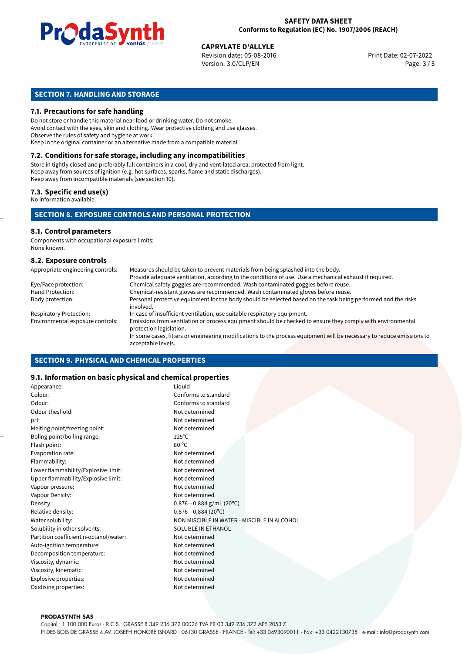

**CAPRYLATE D'ALLYLE**<br>
Revision date: 05-08-2016 Print Date: 02-07-2022 Version: 3.0/CLP/EN Page: 3 / 5

# **SECTION 7. HANDLING AND STORAGE**

#### **7.1. Precautions for safe handling**

Do not store or handle this material near food or drinking water. Do not smoke. Avoid contact with the eyes, skin and clothing. Wear protective clothing and use glasses. Observe the rules of safety and hygiene at work. Keep in the original container or an alternative made from a compatible material.

# **7.2. Conditions for safe storage, including any incompatibilities**

Store in tightly closed and preferably full containers in a cool, dry and ventilated area, protected from light. Keep away from sources of ignition (e.g. hot surfaces, sparks, flame and static discharges). Keep away from incompatible materials (see section 10).

#### **7.3. Specific end use(s)**

No information available.

#### **SECTION 8. EXPOSURE CONTROLS AND PERSONAL PROTECTION**

# **8.1. Control parameters**

Components with occupational exposure limits: None known.

#### **8.2. Exposure controls**

| Appropriate engineering controls: | Measures should be taken to prevent materials from being splashed into the body.                                                            |
|-----------------------------------|---------------------------------------------------------------------------------------------------------------------------------------------|
|                                   | Provide adequate ventilation, according to the conditions of use. Use a mechanical exhaust if required.                                     |
| Eye/Face protection:              | Chemical safety goggles are recommended. Wash contaminated goggles before reuse.                                                            |
| Hand Protection:                  | Chemical-resistant gloves are recommended. Wash contaminated gloves before reuse.                                                           |
| Body protection:                  | Personal protective equipment for the body should be selected based on the task being performed and the risks<br>involved.                  |
| <b>Respiratory Protection:</b>    | In case of insufficient ventilation, use suitable respiratory equipment.                                                                    |
| Environmental exposure controls:  | Emissions from ventilation or process equipment should be checked to ensure they comply with environmental<br>protection legislation.       |
|                                   | In some cases, filters or engineering modifications to the process equipment will be necessary to reduce emissions to<br>acceptable levels. |

#### **SECTION 9. PHYSICAL AND CHEMICAL PROPERTIES**

#### **9.1. Information on basic physical and chemical properties**

| Appearance:                            | Liquid                                      |
|----------------------------------------|---------------------------------------------|
| Colour:                                | Conforms to standard                        |
| Odour:                                 | Conforms to standard                        |
| Odour theshold:                        | Not determined                              |
| pH:                                    | Not determined                              |
| Melting point/freezing point:          | Not determined                              |
| Boling point/boiling range:            | $225^{\circ}$ C                             |
| Flash point:                           | $80^{\circ}$ C                              |
| Evaporation rate:                      | Not determined                              |
| Flammability:                          | Not determined                              |
| Lower flammability/Explosive limit:    | Not determined                              |
| Upper flammability/Explosive limit:    | Not determined                              |
| Vapour pressure:                       | Not determined                              |
| Vapour Density:                        | Not determined                              |
| Density:                               | $0,876-0,884$ g/mL (20°C)                   |
| Relative density:                      | $0,876 - 0,884$ (20°C)                      |
| Water solubility:                      | NON MISCIBLE IN WATER - MISCIBLE IN ALCOHOL |
| Solubility in other solvents:          | SOLUBLE IN ETHANOL                          |
| Partition coefficient n-octanol/water: | Not determined                              |
| Auto-ignition temperature:             | Not determined                              |
| Decomposition temperature:             | Not determined                              |
| Viscosity, dynamic:                    | Not determined                              |
| Viscosity, kinematic:                  | Not determined                              |
| Explosive properties:                  | Not determined                              |
| Oxidising properties:                  | Not determined                              |
|                                        |                                             |

#### **PRODASYNTH SAS**

Capital : 1.100.000 Euros · R.C.S.: GRASSE B 349 236 372 00026 TVA FR 03 349 236 372 APE 2053 Z PI DES BOIS DE GRASSE 4 AV. JOSEPH HONORÉ ISNARD · 06130 GRASSE · FRANCE · Tel: +33 0493090011 · Fax: +33 0422130738 · e-mail: info@prodasynth.com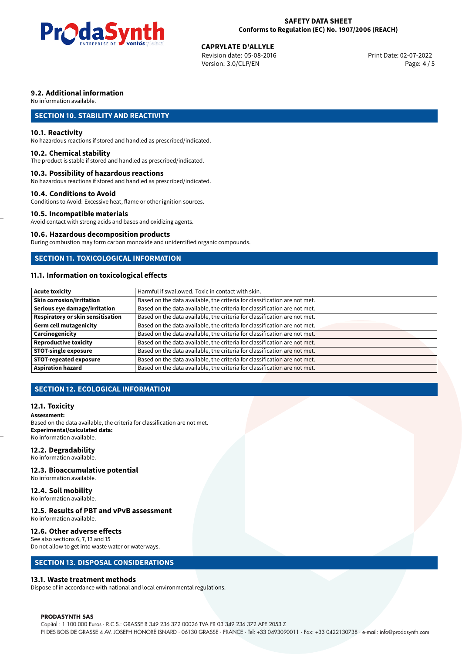

# **CAPRYLATE D'ALLYLE**<br>
Revision date: 05-08-2016<br> **CAPRYLATE D'ALLYLE**<br>
Print Date: 02-07-2022

Revision date: 05-08-2016 Version: 3.0/CLP/EN Page: 4 / 5

## **9.2. Additional information**

No information available.

# **SECTION 10. STABILITY AND REACTIVITY**

#### **10.1. Reactivity**

No hazardous reactions if stored and handled as prescribed/indicated.

#### **10.2. Chemical stability**

The product is stable if stored and handled as prescribed/indicated.

#### **10.3. Possibility of hazardous reactions**

No hazardous reactions if stored and handled as prescribed/indicated.

#### **10.4. Conditions to Avoid**

Conditions to Avoid: Excessive heat, flame or other ignition sources.

### **10.5. Incompatible materials**

Avoid contact with strong acids and bases and oxidizing agents.

#### **10.6. Hazardous decomposition products**

During combustion may form carbon monoxide and unidentified organic compounds.

### **SECTION 11. TOXICOLOGICAL INFORMATION**

# **11.1. Information on toxicological effects**

| <b>Acute toxicity</b>             | Harmful if swallowed. Toxic in contact with skin.                         |
|-----------------------------------|---------------------------------------------------------------------------|
| Skin corrosion/irritation         | Based on the data available, the criteria for classification are not met. |
| Serious eye damage/irritation     | Based on the data available, the criteria for classification are not met. |
| Respiratory or skin sensitisation | Based on the data available, the criteria for classification are not met. |
| Germ cell mutagenicity            | Based on the data available, the criteria for classification are not met. |
| Carcinogenicity                   | Based on the data available, the criteria for classification are not met. |
| Reproductive toxicity             | Based on the data available, the criteria for classification are not met. |
| STOT-single exposure              | Based on the data available, the criteria for classification are not met. |
| <b>STOT-repeated exposure</b>     | Based on the data available, the criteria for classification are not met. |
| <b>Aspiration hazard</b>          | Based on the data available, the criteria for classification are not met. |

# **SECTION 12. ECOLOGICAL INFORMATION**

#### **12.1. Toxicity**

#### **Assessment:**

Based on the data available, the criteria for classification are not met. **Experimental/calculated data:** No information available.

#### **12.2. Degradability**

No information available.

#### **12.3. Bioaccumulative potential**

No information available.

#### **12.4. Soil mobility**

No information available.

# **12.5. Results of PBT and vPvB assessment**

No information available.

#### **12.6. Other adverse effects**

See also sections 6, 7, 13 and 15 Do not allow to get into waste water or waterways.

## **SECTION 13. DISPOSAL CONSIDERATIONS**

#### **13.1. Waste treatment methods**

Dispose of in accordance with national and local environmental regulations.

#### **PRODASYNTH SAS**

Capital : 1.100.000 Euros · R.C.S.: GRASSE B 349 236 372 00026 TVA FR 03 349 236 372 APE 2053 Z PI DES BOIS DE GRASSE 4 AV. JOSEPH HONORÉ ISNARD · 06130 GRASSE · FRANCE · Tel: +33 0493090011 · Fax: +33 0422130738 · e-mail: info@prodasynth.com